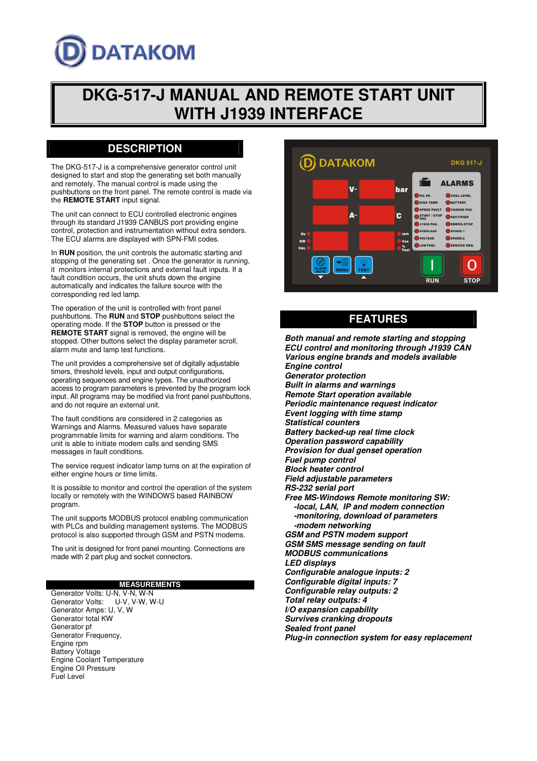# **DATAKOM**

## **DKG-517-J MANUAL AND REMOTE START UNIT WITH J1939 INTERFACE**

## **DESCRIPTION**

The DKG-517-J is a comprehensive generator control unit designed to start and stop the generating set both manually and remotely. The manual control is made using the pushbuttons on the front panel. The remote control is made via the **REMOTE START** input signal.

The unit can connect to ECU controlled electronic engines through its standard J1939 CANBUS port providing engine control, protection and instrumentation without extra senders. The ECU alarms are displayed with SPN-FMI codes.

In **RUN** position, the unit controls the automatic starting and stopping of the generating set . Once the generator is running, it monitors internal protections and external fault inputs. If a fault condition occurs, the unit shuts down the engine automatically and indicates the failure source with the corresponding red led lamp.

The operation of the unit is controlled with front panel pushbuttons. The **RUN** and **STOP** pushbuttons select the operating mode. If the **STOP** button is pressed or the **REMOTE START** signal is removed, the engine will be stopped. Other buttons select the display parameter scroll, alarm mute and lamp test functions.

The unit provides a comprehensive set of digitally adjustable timers, threshold levels, input and output configurations, operating sequences and engine types. The unauthorized access to program parameters is prevented by the program lock input. All programs may be modified via front panel pushbuttons, and do not require an external unit.

The fault conditions are considered in 2 categories as Warnings and Alarms. Measured values have separate programmable limits for warning and alarm conditions. The unit is able to initiate modem calls and sending SMS messages in fault conditions.

The service request indicator lamp turns on at the expiration of either engine hours or time limits.

It is possible to monitor and control the operation of the system locally or remotely with the WINDOWS based RAINBOW program.

The unit supports MODBUS protocol enabling communication with PLCs and building management systems. The MODBUS protocol is also supported through GSM and PSTN modems.

The unit is designed for front panel mounting. Connections are made with 2 part plug and socket connectors.

#### **MEASUREMENTS**

Generator Volts: U-N, V-N, W-N<br>Generator Volts: U-V. V-W. W U-V, V-W, W-U Generator Amps: U, V, W Generator total KW Generator pf Generator Frequency, Engine rpm Battery Voltage Engine Coolant Temperature Engine Oil Pressure Fuel Level



**FEATURES**

*Both manual and remote starting and stopping ECU control and monitoring through J1939 CAN Various engine brands and models available Engine control Generator protection Built in alarms and warnings Remote Start operation available Periodic maintenance request indicator Event logging with time stamp Statistical counters Battery backed-up real time clock Operation password capability Provision for dual genset operation Fuel pump control Block heater control Field adjustable parameters RS-232 serial port Free MS-Windows Remote monitoring SW: -local, LAN, IP and modem connection -monitoring, download of parameters -modem networking GSM and PSTN modem support GSM SMS message sending on fault MODBUS communications LED displays Configurable analogue inputs: 2 Configurable digital inputs: 7 Configurable relay outputs: 2 Total relay outputs: 4 I/O expansion capability Survives cranking dropouts Sealed front panel Plug-in connection system for easy replacement*